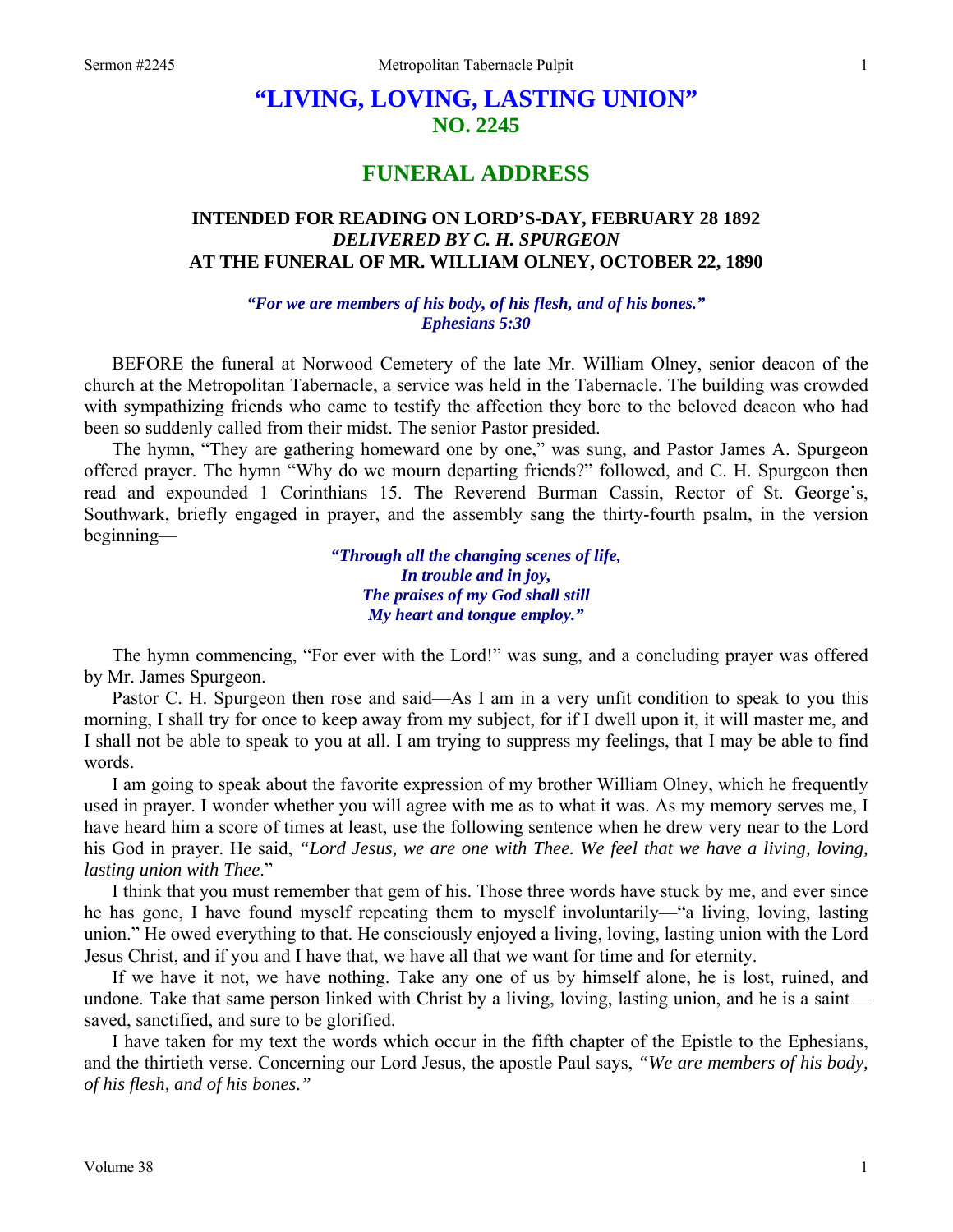## **"LIVING, LOVING, LASTING UNION" NO. 2245**

## **FUNERAL ADDRESS**

## **INTENDED FOR READING ON LORD'S-DAY, FEBRUARY 28 1892**  *DELIVERED BY C. H. SPURGEON*  **AT THE FUNERAL OF MR. WILLIAM OLNEY, OCTOBER 22, 1890**

*"For we are members of his body, of his flesh, and of his bones." Ephesians 5:30* 

BEFORE the funeral at Norwood Cemetery of the late Mr. William Olney, senior deacon of the church at the Metropolitan Tabernacle, a service was held in the Tabernacle. The building was crowded with sympathizing friends who came to testify the affection they bore to the beloved deacon who had been so suddenly called from their midst. The senior Pastor presided.

The hymn, "They are gathering homeward one by one," was sung, and Pastor James A. Spurgeon offered prayer. The hymn "Why do we mourn departing friends?" followed, and C. H. Spurgeon then read and expounded 1 Corinthians 15. The Reverend Burman Cassin, Rector of St. George's, Southwark, briefly engaged in prayer, and the assembly sang the thirty-fourth psalm, in the version beginning—

> *"Through all the changing scenes of life, In trouble and in joy, The praises of my God shall still My heart and tongue employ."*

The hymn commencing, "For ever with the Lord!" was sung, and a concluding prayer was offered by Mr. James Spurgeon.

Pastor C. H. Spurgeon then rose and said—As I am in a very unfit condition to speak to you this morning, I shall try for once to keep away from my subject, for if I dwell upon it, it will master me, and I shall not be able to speak to you at all. I am trying to suppress my feelings, that I may be able to find words.

I am going to speak about the favorite expression of my brother William Olney, which he frequently used in prayer. I wonder whether you will agree with me as to what it was. As my memory serves me, I have heard him a score of times at least, use the following sentence when he drew very near to the Lord his God in prayer. He said, *"Lord Jesus, we are one with Thee. We feel that we have a living, loving, lasting union with Thee*."

I think that you must remember that gem of his. Those three words have stuck by me, and ever since he has gone, I have found myself repeating them to myself involuntarily—"a living, loving, lasting union." He owed everything to that. He consciously enjoyed a living, loving, lasting union with the Lord Jesus Christ, and if you and I have that, we have all that we want for time and for eternity.

If we have it not, we have nothing. Take any one of us by himself alone, he is lost, ruined, and undone. Take that same person linked with Christ by a living, loving, lasting union, and he is a saint saved, sanctified, and sure to be glorified.

I have taken for my text the words which occur in the fifth chapter of the Epistle to the Ephesians, and the thirtieth verse. Concerning our Lord Jesus, the apostle Paul says, *"We are members of his body, of his flesh, and of his bones."*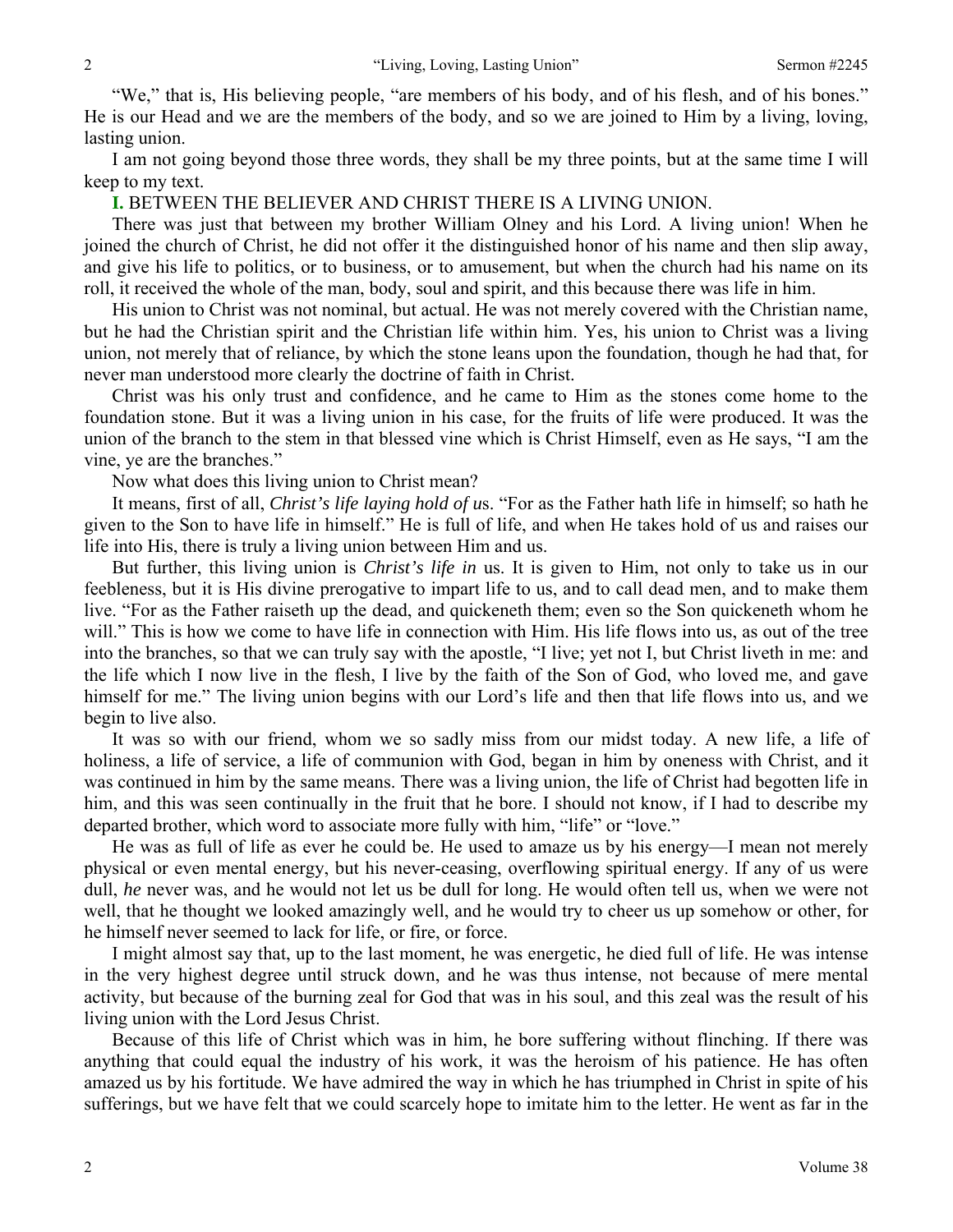"We," that is, His believing people, "are members of his body, and of his flesh, and of his bones." He is our Head and we are the members of the body, and so we are joined to Him by a living, loving, lasting union.

I am not going beyond those three words, they shall be my three points, but at the same time I will keep to my text.

**I.** BETWEEN THE BELIEVER AND CHRIST THERE IS A LIVING UNION.

There was just that between my brother William Olney and his Lord. A living union! When he joined the church of Christ, he did not offer it the distinguished honor of his name and then slip away, and give his life to politics, or to business, or to amusement, but when the church had his name on its roll, it received the whole of the man, body, soul and spirit, and this because there was life in him.

His union to Christ was not nominal, but actual. He was not merely covered with the Christian name, but he had the Christian spirit and the Christian life within him. Yes, his union to Christ was a living union, not merely that of reliance, by which the stone leans upon the foundation, though he had that, for never man understood more clearly the doctrine of faith in Christ.

Christ was his only trust and confidence, and he came to Him as the stones come home to the foundation stone. But it was a living union in his case, for the fruits of life were produced. It was the union of the branch to the stem in that blessed vine which is Christ Himself, even as He says, "I am the vine, ye are the branches."

Now what does this living union to Christ mean?

It means, first of all, *Christ's life laying hold of u*s. "For as the Father hath life in himself; so hath he given to the Son to have life in himself." He is full of life, and when He takes hold of us and raises our life into His, there is truly a living union between Him and us.

But further, this living union is *Christ's life in* us. It is given to Him, not only to take us in our feebleness, but it is His divine prerogative to impart life to us, and to call dead men, and to make them live. "For as the Father raiseth up the dead, and quickeneth them; even so the Son quickeneth whom he will." This is how we come to have life in connection with Him. His life flows into us, as out of the tree into the branches, so that we can truly say with the apostle, "I live; yet not I, but Christ liveth in me: and the life which I now live in the flesh, I live by the faith of the Son of God, who loved me, and gave himself for me." The living union begins with our Lord's life and then that life flows into us, and we begin to live also.

It was so with our friend, whom we so sadly miss from our midst today. A new life, a life of holiness, a life of service, a life of communion with God, began in him by oneness with Christ, and it was continued in him by the same means. There was a living union, the life of Christ had begotten life in him, and this was seen continually in the fruit that he bore. I should not know, if I had to describe my departed brother, which word to associate more fully with him, "life" or "love."

He was as full of life as ever he could be. He used to amaze us by his energy—I mean not merely physical or even mental energy, but his never-ceasing, overflowing spiritual energy. If any of us were dull, *he* never was, and he would not let us be dull for long. He would often tell us, when we were not well, that he thought we looked amazingly well, and he would try to cheer us up somehow or other, for he himself never seemed to lack for life, or fire, or force.

I might almost say that, up to the last moment, he was energetic, he died full of life. He was intense in the very highest degree until struck down, and he was thus intense, not because of mere mental activity, but because of the burning zeal for God that was in his soul, and this zeal was the result of his living union with the Lord Jesus Christ.

Because of this life of Christ which was in him, he bore suffering without flinching. If there was anything that could equal the industry of his work, it was the heroism of his patience. He has often amazed us by his fortitude. We have admired the way in which he has triumphed in Christ in spite of his sufferings, but we have felt that we could scarcely hope to imitate him to the letter. He went as far in the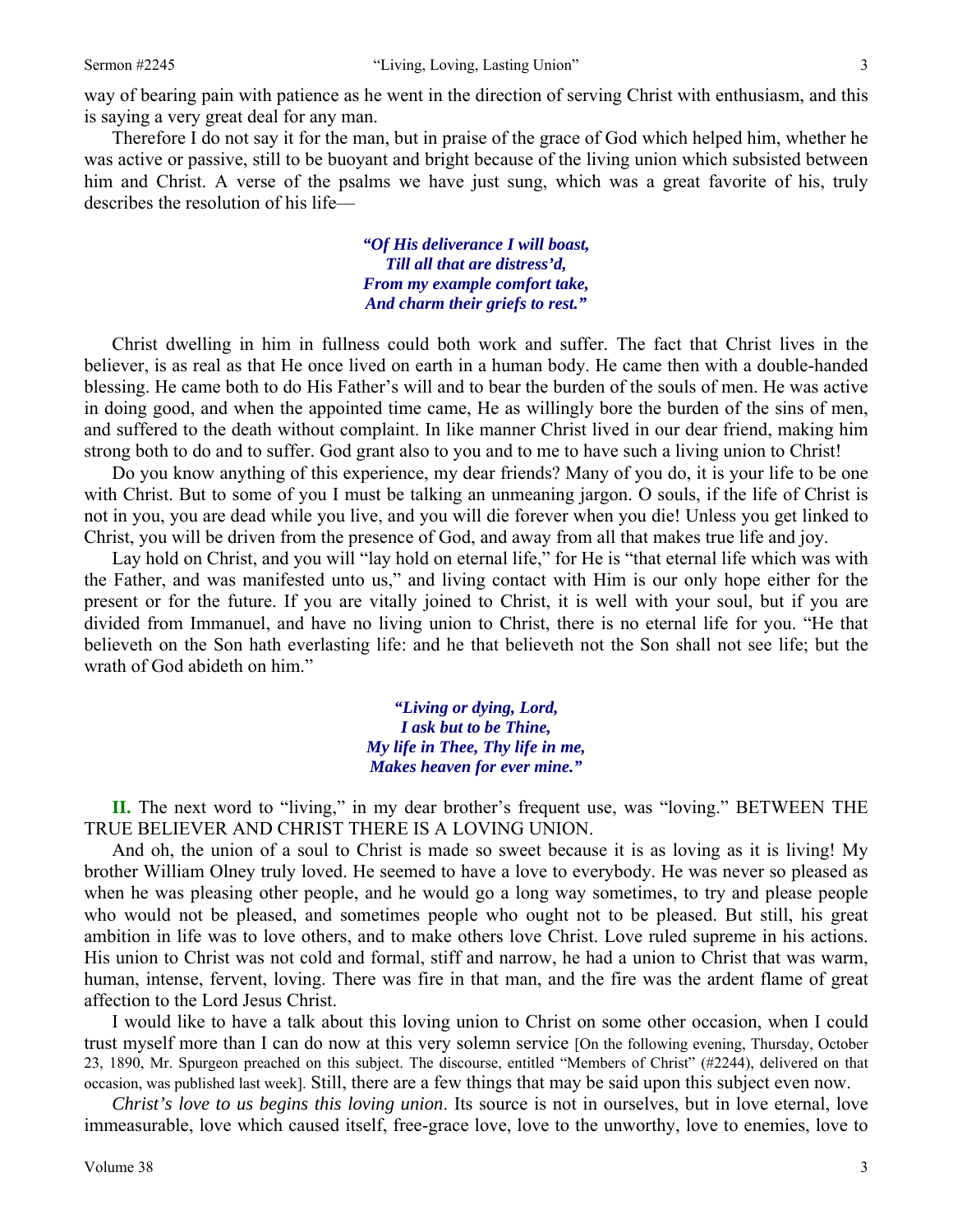way of bearing pain with patience as he went in the direction of serving Christ with enthusiasm, and this is saying a very great deal for any man.

Therefore I do not say it for the man, but in praise of the grace of God which helped him, whether he was active or passive, still to be buoyant and bright because of the living union which subsisted between him and Christ. A verse of the psalms we have just sung, which was a great favorite of his, truly describes the resolution of his life—

> *"Of His deliverance I will boast, Till all that are distress'd, From my example comfort take, And charm their griefs to rest."*

Christ dwelling in him in fullness could both work and suffer. The fact that Christ lives in the believer, is as real as that He once lived on earth in a human body. He came then with a double-handed blessing. He came both to do His Father's will and to bear the burden of the souls of men. He was active in doing good, and when the appointed time came, He as willingly bore the burden of the sins of men, and suffered to the death without complaint. In like manner Christ lived in our dear friend, making him strong both to do and to suffer. God grant also to you and to me to have such a living union to Christ!

Do you know anything of this experience, my dear friends? Many of you do, it is your life to be one with Christ. But to some of you I must be talking an unmeaning jargon. O souls, if the life of Christ is not in you, you are dead while you live, and you will die forever when you die! Unless you get linked to Christ, you will be driven from the presence of God, and away from all that makes true life and joy.

Lay hold on Christ, and you will "lay hold on eternal life," for He is "that eternal life which was with the Father, and was manifested unto us," and living contact with Him is our only hope either for the present or for the future. If you are vitally joined to Christ, it is well with your soul, but if you are divided from Immanuel, and have no living union to Christ, there is no eternal life for you. "He that believeth on the Son hath everlasting life: and he that believeth not the Son shall not see life; but the wrath of God abideth on him."

> *"Living or dying, Lord, I ask but to be Thine, My life in Thee, Thy life in me, Makes heaven for ever mine."*

**II.** The next word to "living," in my dear brother's frequent use, was "loving." BETWEEN THE TRUE BELIEVER AND CHRIST THERE IS A LOVING UNION.

And oh, the union of a soul to Christ is made so sweet because it is as loving as it is living! My brother William Olney truly loved. He seemed to have a love to everybody. He was never so pleased as when he was pleasing other people, and he would go a long way sometimes, to try and please people who would not be pleased, and sometimes people who ought not to be pleased. But still, his great ambition in life was to love others, and to make others love Christ. Love ruled supreme in his actions. His union to Christ was not cold and formal, stiff and narrow, he had a union to Christ that was warm, human, intense, fervent, loving. There was fire in that man, and the fire was the ardent flame of great affection to the Lord Jesus Christ.

I would like to have a talk about this loving union to Christ on some other occasion, when I could trust myself more than I can do now at this very solemn service [On the following evening, Thursday, October 23, 1890, Mr. Spurgeon preached on this subject. The discourse, entitled "Members of Christ" (#2244), delivered on that occasion, was published last week]. Still, there are a few things that may be said upon this subject even now.

*Christ's love to us begins this loving union*. Its source is not in ourselves, but in love eternal, love immeasurable, love which caused itself, free-grace love, love to the unworthy, love to enemies, love to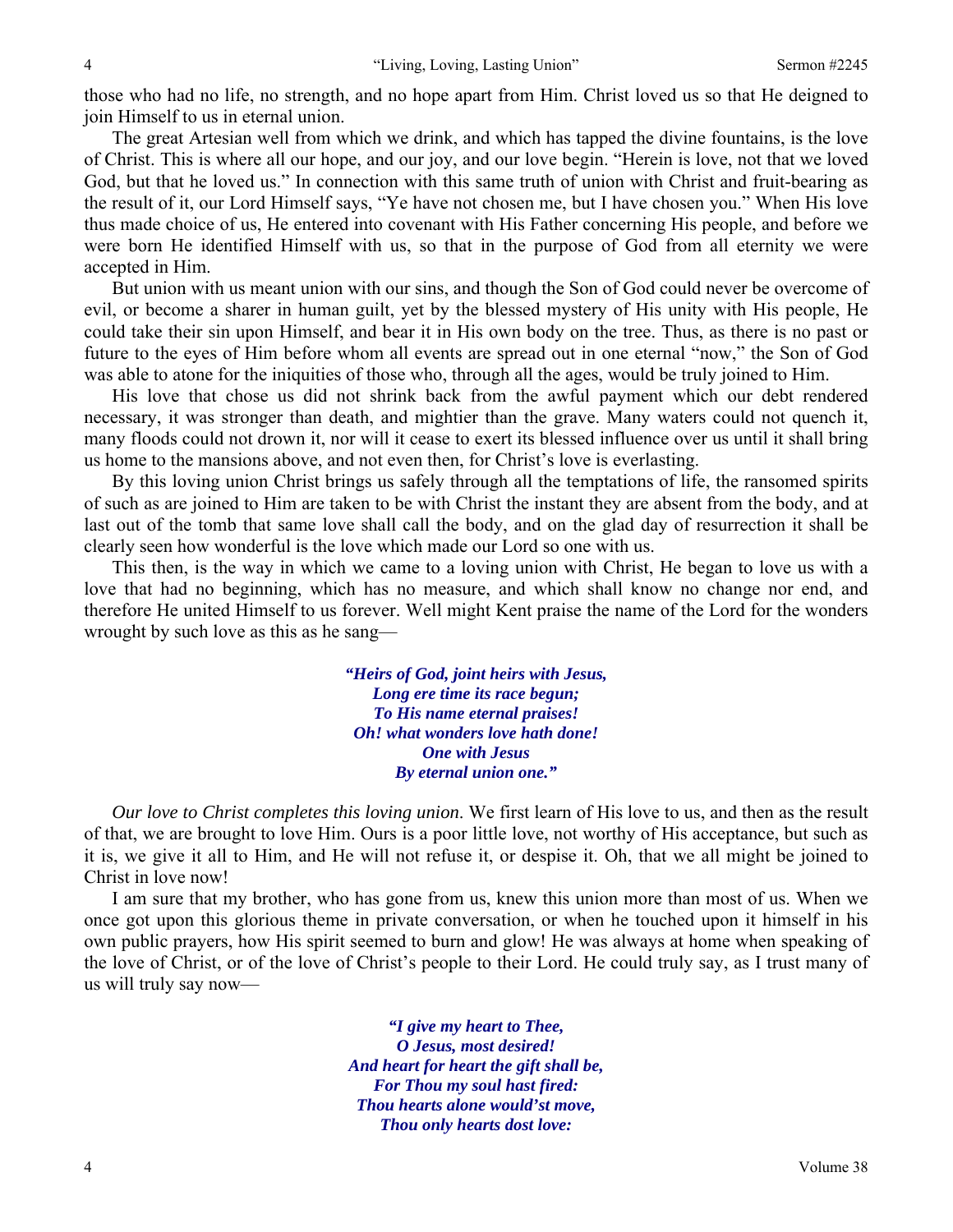those who had no life, no strength, and no hope apart from Him. Christ loved us so that He deigned to join Himself to us in eternal union.

The great Artesian well from which we drink, and which has tapped the divine fountains, is the love of Christ. This is where all our hope, and our joy, and our love begin. "Herein is love, not that we loved God, but that he loved us." In connection with this same truth of union with Christ and fruit-bearing as the result of it, our Lord Himself says, "Ye have not chosen me, but I have chosen you." When His love thus made choice of us, He entered into covenant with His Father concerning His people, and before we were born He identified Himself with us, so that in the purpose of God from all eternity we were accepted in Him.

But union with us meant union with our sins, and though the Son of God could never be overcome of evil, or become a sharer in human guilt, yet by the blessed mystery of His unity with His people, He could take their sin upon Himself, and bear it in His own body on the tree. Thus, as there is no past or future to the eyes of Him before whom all events are spread out in one eternal "now," the Son of God was able to atone for the iniquities of those who, through all the ages, would be truly joined to Him.

His love that chose us did not shrink back from the awful payment which our debt rendered necessary, it was stronger than death, and mightier than the grave. Many waters could not quench it, many floods could not drown it, nor will it cease to exert its blessed influence over us until it shall bring us home to the mansions above, and not even then, for Christ's love is everlasting.

By this loving union Christ brings us safely through all the temptations of life, the ransomed spirits of such as are joined to Him are taken to be with Christ the instant they are absent from the body, and at last out of the tomb that same love shall call the body, and on the glad day of resurrection it shall be clearly seen how wonderful is the love which made our Lord so one with us.

This then, is the way in which we came to a loving union with Christ, He began to love us with a love that had no beginning, which has no measure, and which shall know no change nor end, and therefore He united Himself to us forever. Well might Kent praise the name of the Lord for the wonders wrought by such love as this as he sang—

> *"Heirs of God, joint heirs with Jesus, Long ere time its race begun; To His name eternal praises! Oh! what wonders love hath done! One with Jesus By eternal union one."*

*Our love to Christ completes this loving union*. We first learn of His love to us, and then as the result of that, we are brought to love Him. Ours is a poor little love, not worthy of His acceptance, but such as it is, we give it all to Him, and He will not refuse it, or despise it. Oh, that we all might be joined to Christ in love now!

I am sure that my brother, who has gone from us, knew this union more than most of us. When we once got upon this glorious theme in private conversation, or when he touched upon it himself in his own public prayers, how His spirit seemed to burn and glow! He was always at home when speaking of the love of Christ, or of the love of Christ's people to their Lord. He could truly say, as I trust many of us will truly say now—

> *"I give my heart to Thee, O Jesus, most desired! And heart for heart the gift shall be, For Thou my soul hast fired: Thou hearts alone would'st move, Thou only hearts dost love:*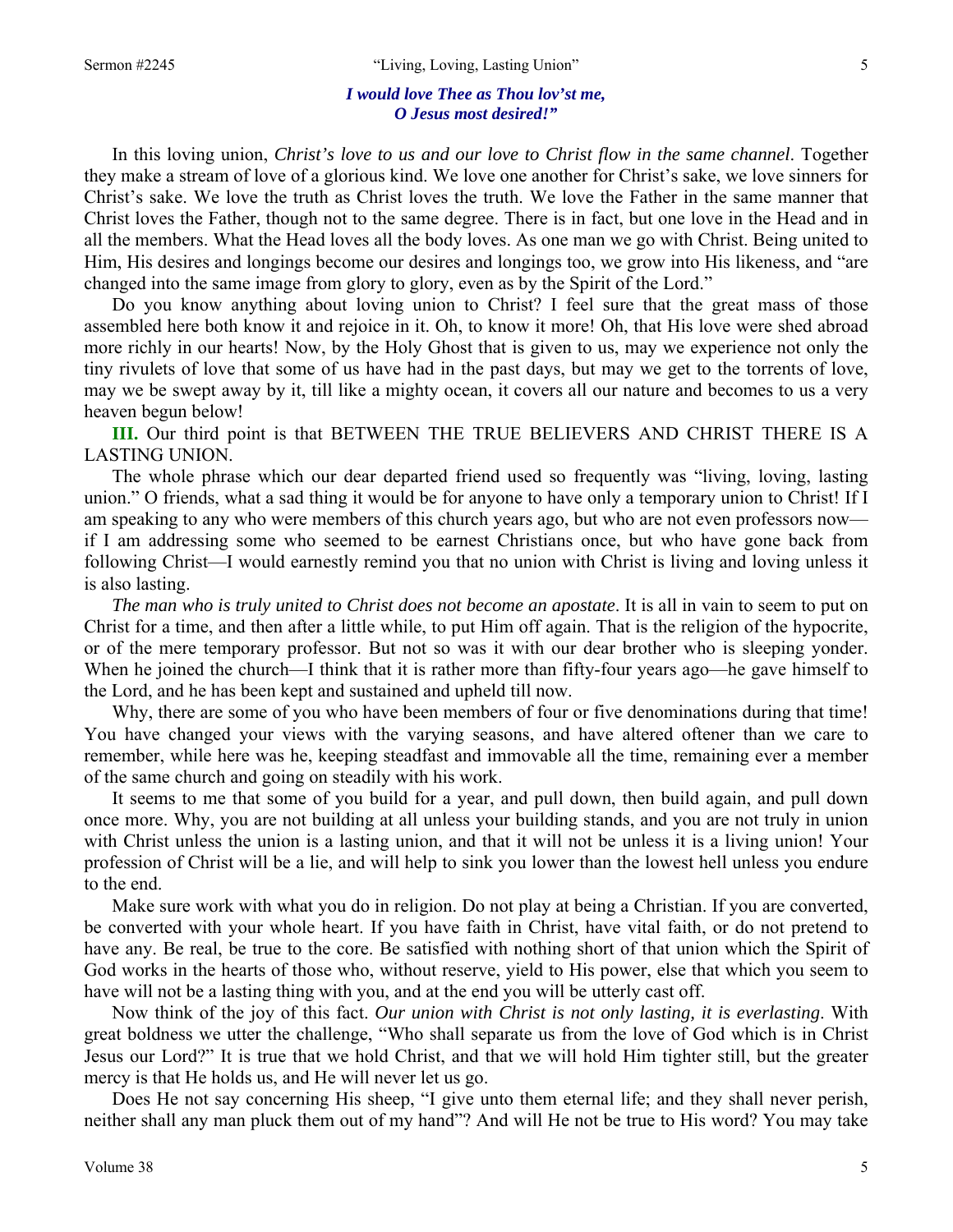## *I would love Thee as Thou lov'st me, O Jesus most desired!"*

In this loving union, *Christ's love to us and our love to Christ flow in the same channel*. Together they make a stream of love of a glorious kind. We love one another for Christ's sake, we love sinners for Christ's sake. We love the truth as Christ loves the truth. We love the Father in the same manner that Christ loves the Father, though not to the same degree. There is in fact, but one love in the Head and in all the members. What the Head loves all the body loves. As one man we go with Christ. Being united to Him, His desires and longings become our desires and longings too, we grow into His likeness, and "are changed into the same image from glory to glory, even as by the Spirit of the Lord."

Do you know anything about loving union to Christ? I feel sure that the great mass of those assembled here both know it and rejoice in it. Oh, to know it more! Oh, that His love were shed abroad more richly in our hearts! Now, by the Holy Ghost that is given to us, may we experience not only the tiny rivulets of love that some of us have had in the past days, but may we get to the torrents of love, may we be swept away by it, till like a mighty ocean, it covers all our nature and becomes to us a very heaven begun below!

**III.** Our third point is that BETWEEN THE TRUE BELIEVERS AND CHRIST THERE IS A LASTING UNION.

The whole phrase which our dear departed friend used so frequently was "living, loving, lasting union." O friends, what a sad thing it would be for anyone to have only a temporary union to Christ! If I am speaking to any who were members of this church years ago, but who are not even professors now if I am addressing some who seemed to be earnest Christians once, but who have gone back from following Christ—I would earnestly remind you that no union with Christ is living and loving unless it is also lasting.

*The man who is truly united to Christ does not become an apostate*. It is all in vain to seem to put on Christ for a time, and then after a little while, to put Him off again. That is the religion of the hypocrite, or of the mere temporary professor. But not so was it with our dear brother who is sleeping yonder. When he joined the church—I think that it is rather more than fifty-four years ago—he gave himself to the Lord, and he has been kept and sustained and upheld till now.

Why, there are some of you who have been members of four or five denominations during that time! You have changed your views with the varying seasons, and have altered oftener than we care to remember, while here was he, keeping steadfast and immovable all the time, remaining ever a member of the same church and going on steadily with his work.

It seems to me that some of you build for a year, and pull down, then build again, and pull down once more. Why, you are not building at all unless your building stands, and you are not truly in union with Christ unless the union is a lasting union, and that it will not be unless it is a living union! Your profession of Christ will be a lie, and will help to sink you lower than the lowest hell unless you endure to the end.

Make sure work with what you do in religion. Do not play at being a Christian. If you are converted, be converted with your whole heart. If you have faith in Christ, have vital faith, or do not pretend to have any. Be real, be true to the core. Be satisfied with nothing short of that union which the Spirit of God works in the hearts of those who, without reserve, yield to His power, else that which you seem to have will not be a lasting thing with you, and at the end you will be utterly cast off.

Now think of the joy of this fact. *Our union with Christ is not only lasting, it is everlasting*. With great boldness we utter the challenge, "Who shall separate us from the love of God which is in Christ Jesus our Lord?" It is true that we hold Christ, and that we will hold Him tighter still, but the greater mercy is that He holds us, and He will never let us go.

Does He not say concerning His sheep, "I give unto them eternal life; and they shall never perish, neither shall any man pluck them out of my hand"? And will He not be true to His word? You may take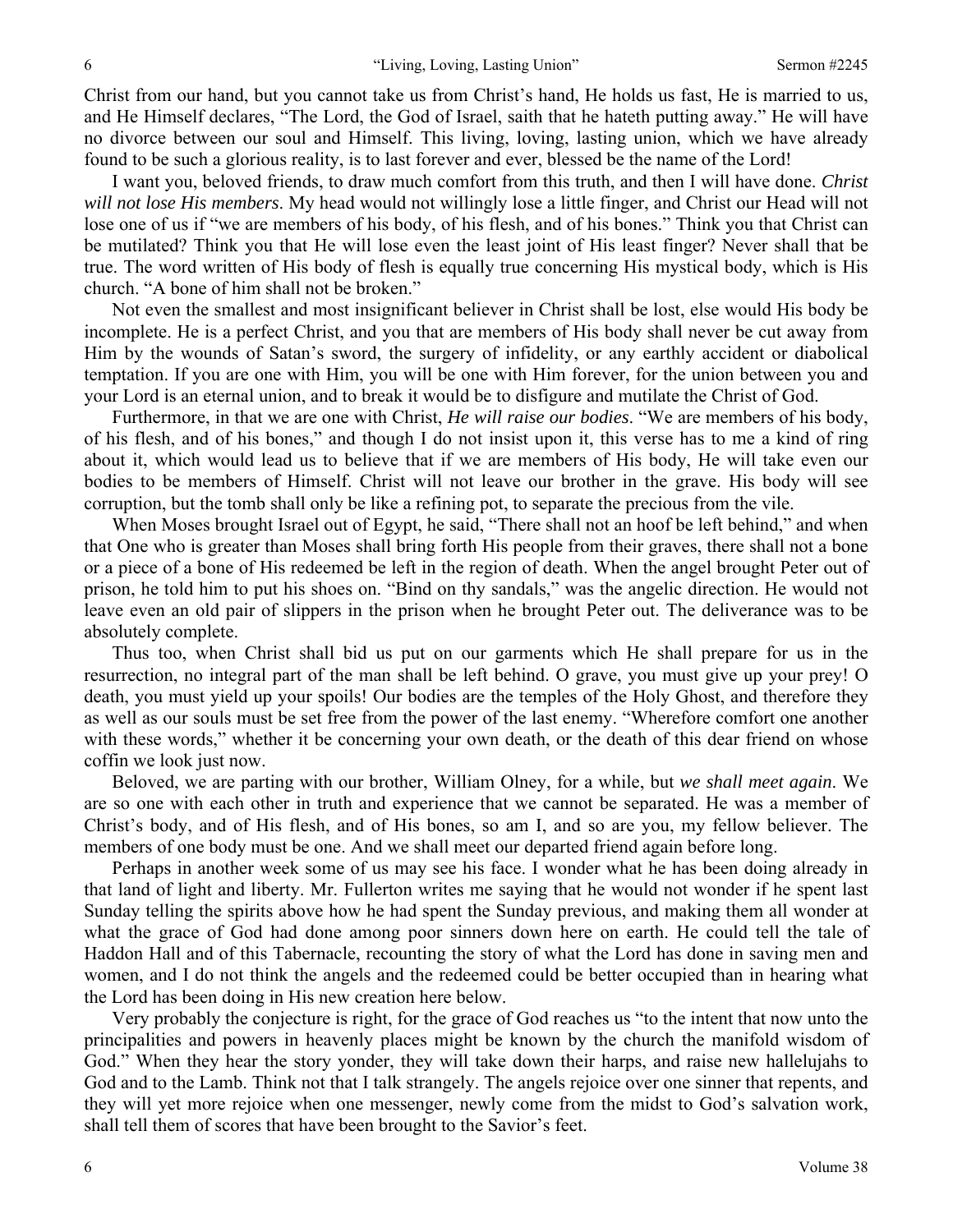Christ from our hand, but you cannot take us from Christ's hand, He holds us fast, He is married to us, and He Himself declares, "The Lord, the God of Israel, saith that he hateth putting away." He will have no divorce between our soul and Himself. This living, loving, lasting union, which we have already found to be such a glorious reality, is to last forever and ever, blessed be the name of the Lord!

I want you, beloved friends, to draw much comfort from this truth, and then I will have done. *Christ will not lose His members*. My head would not willingly lose a little finger, and Christ our Head will not lose one of us if "we are members of his body, of his flesh, and of his bones." Think you that Christ can be mutilated? Think you that He will lose even the least joint of His least finger? Never shall that be true. The word written of His body of flesh is equally true concerning His mystical body, which is His church. "A bone of him shall not be broken."

Not even the smallest and most insignificant believer in Christ shall be lost, else would His body be incomplete. He is a perfect Christ, and you that are members of His body shall never be cut away from Him by the wounds of Satan's sword, the surgery of infidelity, or any earthly accident or diabolical temptation. If you are one with Him, you will be one with Him forever, for the union between you and your Lord is an eternal union, and to break it would be to disfigure and mutilate the Christ of God.

Furthermore, in that we are one with Christ, *He will raise our bodies*. "We are members of his body, of his flesh, and of his bones," and though I do not insist upon it, this verse has to me a kind of ring about it, which would lead us to believe that if we are members of His body, He will take even our bodies to be members of Himself. Christ will not leave our brother in the grave. His body will see corruption, but the tomb shall only be like a refining pot, to separate the precious from the vile.

When Moses brought Israel out of Egypt, he said, "There shall not an hoof be left behind," and when that One who is greater than Moses shall bring forth His people from their graves, there shall not a bone or a piece of a bone of His redeemed be left in the region of death. When the angel brought Peter out of prison, he told him to put his shoes on. "Bind on thy sandals," was the angelic direction. He would not leave even an old pair of slippers in the prison when he brought Peter out. The deliverance was to be absolutely complete.

Thus too, when Christ shall bid us put on our garments which He shall prepare for us in the resurrection, no integral part of the man shall be left behind. O grave, you must give up your prey! O death, you must yield up your spoils! Our bodies are the temples of the Holy Ghost, and therefore they as well as our souls must be set free from the power of the last enemy. "Wherefore comfort one another with these words," whether it be concerning your own death, or the death of this dear friend on whose coffin we look just now.

Beloved, we are parting with our brother, William Olney, for a while, but *we shall meet again*. We are so one with each other in truth and experience that we cannot be separated. He was a member of Christ's body, and of His flesh, and of His bones, so am I, and so are you, my fellow believer. The members of one body must be one. And we shall meet our departed friend again before long.

Perhaps in another week some of us may see his face. I wonder what he has been doing already in that land of light and liberty. Mr. Fullerton writes me saying that he would not wonder if he spent last Sunday telling the spirits above how he had spent the Sunday previous, and making them all wonder at what the grace of God had done among poor sinners down here on earth. He could tell the tale of Haddon Hall and of this Tabernacle, recounting the story of what the Lord has done in saving men and women, and I do not think the angels and the redeemed could be better occupied than in hearing what the Lord has been doing in His new creation here below.

Very probably the conjecture is right, for the grace of God reaches us "to the intent that now unto the principalities and powers in heavenly places might be known by the church the manifold wisdom of God." When they hear the story yonder, they will take down their harps, and raise new hallelujahs to God and to the Lamb. Think not that I talk strangely. The angels rejoice over one sinner that repents, and they will yet more rejoice when one messenger, newly come from the midst to God's salvation work, shall tell them of scores that have been brought to the Savior's feet.